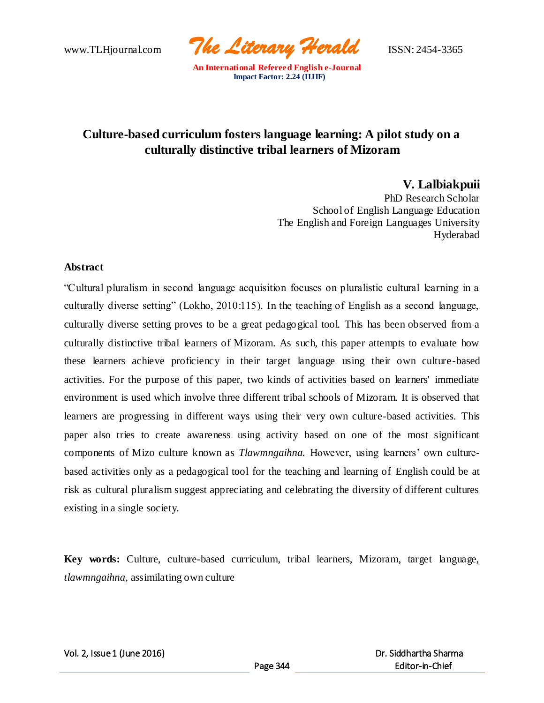www.TLHjournal.com *The Literary Herald*ISSN: 2454-3365

# **Culture-based curriculum fosters language learning: A pilot study on a culturally distinctive tribal learners of Mizoram**

**V. Lalbiakpuii**

PhD Research Scholar School of English Language Education The English and Foreign Languages University Hyderabad

## **Abstract**

"Cultural pluralism in second language acquisition focuses on pluralistic cultural learning in a culturally diverse setting" (Lokho, 2010:115). In the teaching of English as a second language, culturally diverse setting proves to be a great pedagogical tool. This has been observed from a culturally distinctive tribal learners of Mizoram. As such, this paper attempts to evaluate how these learners achieve proficiency in their target language using their own culture-based activities. For the purpose of this paper, two kinds of activities based on learners' immediate environment is used which involve three different tribal schools of Mizoram. It is observed that learners are progressing in different ways using their very own culture-based activities. This paper also tries to create awareness using activity based on one of the most significant components of Mizo culture known as *Tlawmngaihna.* However, using learners' own culturebased activities only as a pedagogical tool for the teaching and learning of English could be at risk as cultural pluralism suggest appreciating and celebrating the diversity of different cultures existing in a single society.

**Key words:** Culture, culture-based curriculum, tribal learners, Mizoram, target language, *tlawmngaihna*, assimilating own culture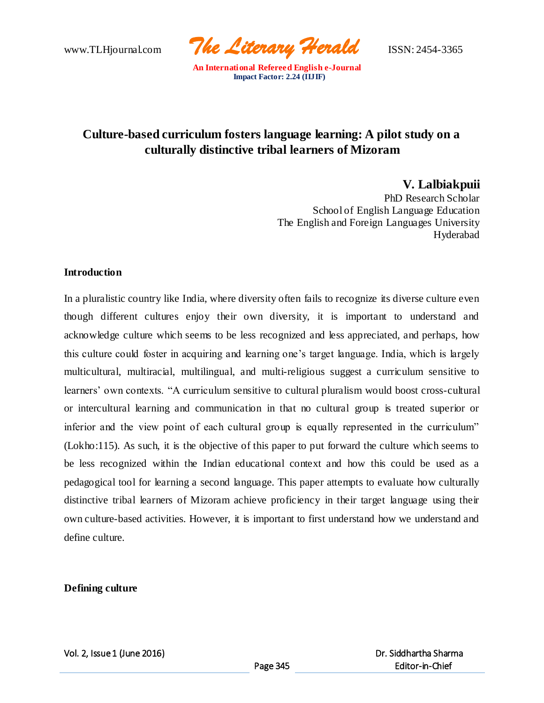www.TLHjournal.com *The Literary Herald*ISSN: 2454-3365

# **Culture-based curriculum fosters language learning: A pilot study on a culturally distinctive tribal learners of Mizoram**

**V. Lalbiakpuii**

PhD Research Scholar School of English Language Education The English and Foreign Languages University Hyderabad

## **Introduction**

In a pluralistic country like India, where diversity often fails to recognize its diverse culture even though different cultures enjoy their own diversity, it is important to understand and acknowledge culture which seems to be less recognized and less appreciated, and perhaps, how this culture could foster in acquiring and learning one's target language. India, which is largely multicultural, multiracial, multilingual, and multi-religious suggest a curriculum sensitive to learners' own contexts. "A curriculum sensitive to cultural pluralism would boost cross-cultural or intercultural learning and communication in that no cultural group is treated superior or inferior and the view point of each cultural group is equally represented in the curriculum" (Lokho:115). As such, it is the objective of this paper to put forward the culture which seems to be less recognized within the Indian educational context and how this could be used as a pedagogical tool for learning a second language. This paper attempts to evaluate how culturally distinctive tribal learners of Mizoram achieve proficiency in their target language using their own culture-based activities. However, it is important to first understand how we understand and define culture.

## **Defining culture**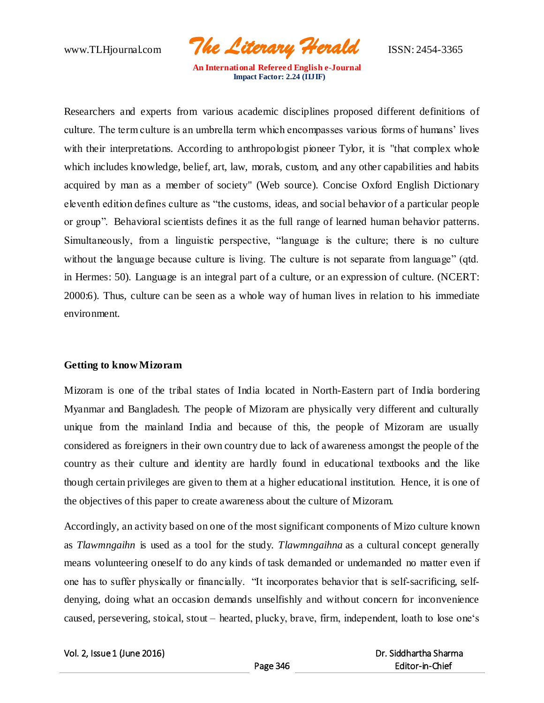www.TLHjournal.com *The Literary Herald*ISSN: 2454-3365

Researchers and experts from various academic disciplines proposed different definitions of culture. The term culture is an umbrella term which encompasses various forms of humans' lives with their interpretations. According to anthropologist pioneer Tylor, it is "that complex whole which includes knowledge, belief, art, law, morals, custom, and any other capabilities and habits acquired by man as a member of society" (Web source). Concise Oxford English Dictionary eleventh edition defines culture as "the customs, ideas, and social behavior of a particular people or group". Behavioral scientists defines it as the full range of learned human behavior patterns. Simultaneously, from a linguistic perspective, "language is the culture; there is no culture without the language because culture is living. The culture is not separate from language" (qtd. in Hermes: 50). Language is an integral part of a culture, or an expression of culture. (NCERT: 2000:6). Thus, culture can be seen as a whole way of human lives in relation to his immediate environment.

## **Getting to know Mizoram**

Mizoram is one of the tribal states of India located in North-Eastern part of India bordering Myanmar and Bangladesh. The people of Mizoram are physically very different and culturally unique from the mainland India and because of this, the people of Mizoram are usually considered as foreigners in their own country due to lack of awareness amongst the people of the country as their culture and identity are hardly found in educational textbooks and the like though certain privileges are given to them at a higher educational institution. Hence, it is one of the objectives of this paper to create awareness about the culture of Mizoram.

Accordingly, an activity based on one of the most significant components of Mizo culture known as *Tlawmngaihn* is used as a tool for the study. *Tlawmngaihna* as a cultural concept generally means volunteering oneself to do any kinds of task demanded or undemanded no matter even if one has to suffer physically or financially. "It incorporates behavior that is self-sacrificing, selfdenying, doing what an occasion demands unselfishly and without concern for inconvenience caused, persevering, stoical, stout – hearted, plucky, brave, firm, independent, loath to lose one's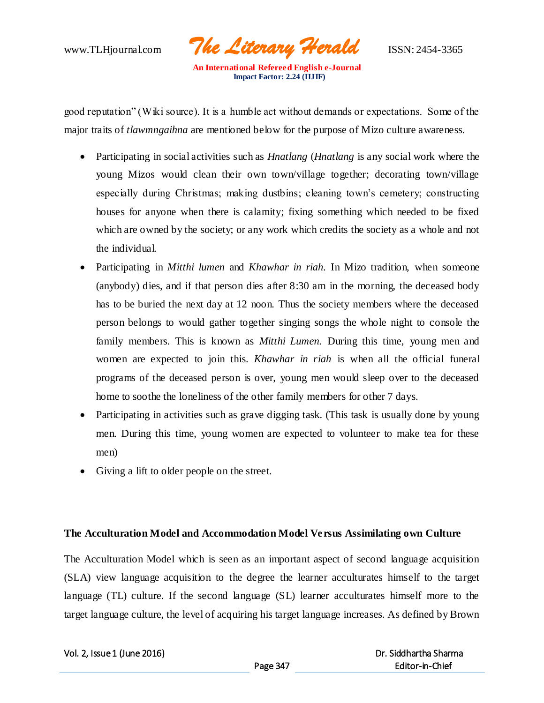

good reputation" (Wiki source). It is a humble act without demands or expectations. Some of the major traits of *tlawmngaihna* are mentioned below for the purpose of Mizo culture awareness.

- Participating in social activities such as *Hnatlang* (*Hnatlang* is any social work where the young Mizos would clean their own town/village together; decorating town/village especially during Christmas; making dustbins; cleaning town's cemetery; constructing houses for anyone when there is calamity; fixing something which needed to be fixed which are owned by the society; or any work which credits the society as a whole and not the individual.
- Participating in *Mitthi lumen* and *Khawhar in riah.* In Mizo tradition, when someone (anybody) dies, and if that person dies after 8:30 am in the morning, the deceased body has to be buried the next day at 12 noon. Thus the society members where the deceased person belongs to would gather together singing songs the whole night to console the family members. This is known as *Mitthi Lumen.* During this time, young men and women are expected to join this. *Khawhar in riah* is when all the official funeral programs of the deceased person is over, young men would sleep over to the deceased home to soothe the loneliness of the other family members for other 7 days.
- Participating in activities such as grave digging task. (This task is usually done by young men. During this time, young women are expected to volunteer to make tea for these men)
- Giving a lift to older people on the street.

## **The Acculturation Model and Accommodation Model Versus Assimilating own Culture**

The Acculturation Model which is seen as an important aspect of second language acquisition (SLA) view language acquisition to the degree the learner acculturates himself to the target language (TL) culture. If the second language (SL) learner acculturates himself more to the target language culture, the level of acquiring his target language increases. As defined by Brown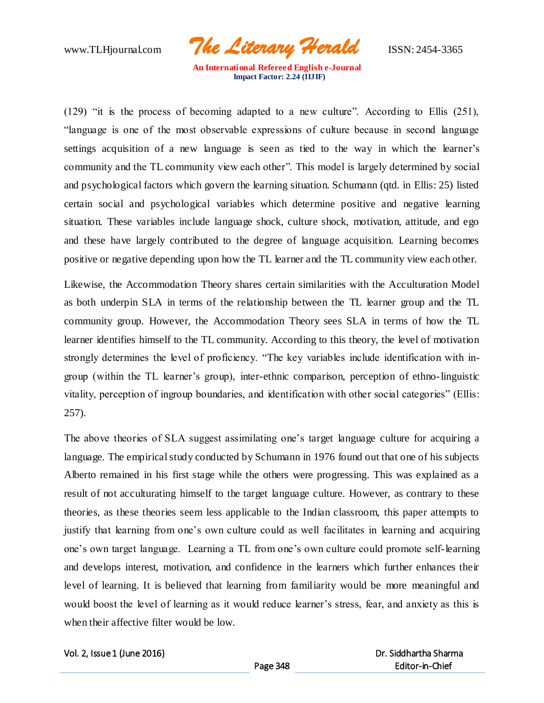www.TLHjournal.com *The Literary Herald*ISSN: 2454-3365

(129) "it is the process of becoming adapted to a new culture". According to Ellis (251), "language is one of the most observable expressions of culture because in second language settings acquisition of a new language is seen as tied to the way in which the learner's community and the TL community view each other". This model is largely determined by social and psychological factors which govern the learning situation. Schumann (qtd. in Ellis: 25) listed certain social and psychological variables which determine positive and negative learning situation. These variables include language shock, culture shock, motivation, attitude, and ego and these have largely contributed to the degree of language acquisition. Learning becomes positive or negative depending upon how the TL learner and the TL community view each other.

Likewise, the Accommodation Theory shares certain similarities with the Acculturation Model as both underpin SLA in terms of the relationship between the TL learner group and the TL community group. However, the Accommodation Theory sees SLA in terms of how the TL learner identifies himself to the TL community. According to this theory, the level of motivation strongly determines the level of proficiency. "The key variables include identification with ingroup (within the TL learner's group), inter-ethnic comparison, perception of ethno-linguistic vitality, perception of ingroup boundaries, and identification with other social categories" (Ellis: 257).

The above theories of SLA suggest assimilating one's target language culture for acquiring a language. The empirical study conducted by Schumann in 1976 found out that one of his subjects Alberto remained in his first stage while the others were progressing. This was explained as a result of not acculturating himself to the target language culture. However, as contrary to these theories, as these theories seem less applicable to the Indian classroom, this paper attempts to justify that learning from one's own culture could as well facilitates in learning and acquiring one's own target language. Learning a TL from one's own culture could promote self-learning and develops interest, motivation, and confidence in the learners which further enhances their level of learning. It is believed that learning from familiarity would be more meaningful and would boost the level of learning as it would reduce learner's stress, fear, and anxiety as this is when their affective filter would be low.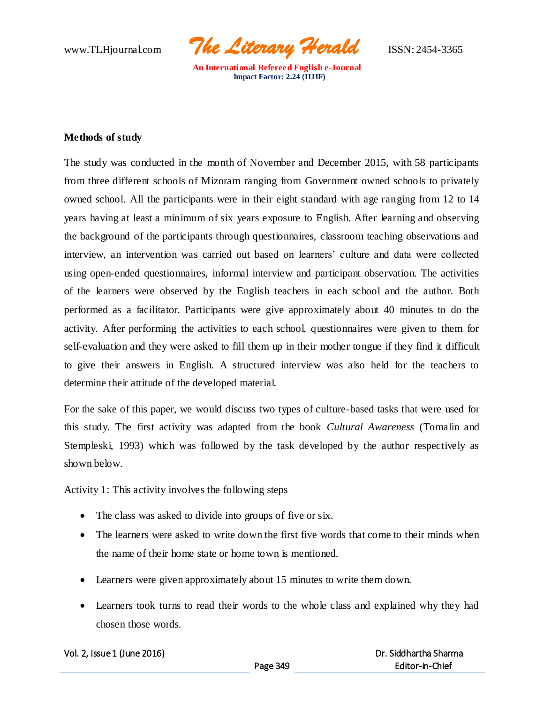www.TLHjournal.com *The Literary Herald*ISSN: 2454-3365

## **Methods of study**

The study was conducted in the month of November and December 2015, with 58 participants from three different schools of Mizoram ranging from Government owned schools to privately owned school. All the participants were in their eight standard with age ranging from 12 to 14 years having at least a minimum of six years exposure to English. After learning and observing the background of the participants through questionnaires, classroom teaching observations and interview, an intervention was carried out based on learners' culture and data were collected using open-ended questionnaires, informal interview and participant observation. The activities of the learners were observed by the English teachers in each school and the author. Both performed as a facilitator. Participants were give approximately about 40 minutes to do the activity. After performing the activities to each school, questionnaires were given to them for self-evaluation and they were asked to fill them up in their mother tongue if they find it difficult to give their answers in English. A structured interview was also held for the teachers to determine their attitude of the developed material.

For the sake of this paper, we would discuss two types of culture-based tasks that were used for this study. The first activity was adapted from the book *Cultural Awareness* (Tomalin and Stempleski, 1993) which was followed by the task developed by the author respectively as shown below.

Activity 1: This activity involves the following steps

- The class was asked to divide into groups of five or six.
- The learners were asked to write down the first five words that come to their minds when the name of their home state or home town is mentioned.
- Learners were given approximately about 15 minutes to write them down.
- Learners took turns to read their words to the whole class and explained why they had chosen those words.

|  | Vol. 2, Issue 1 (June 2016) |  |
|--|-----------------------------|--|
|--|-----------------------------|--|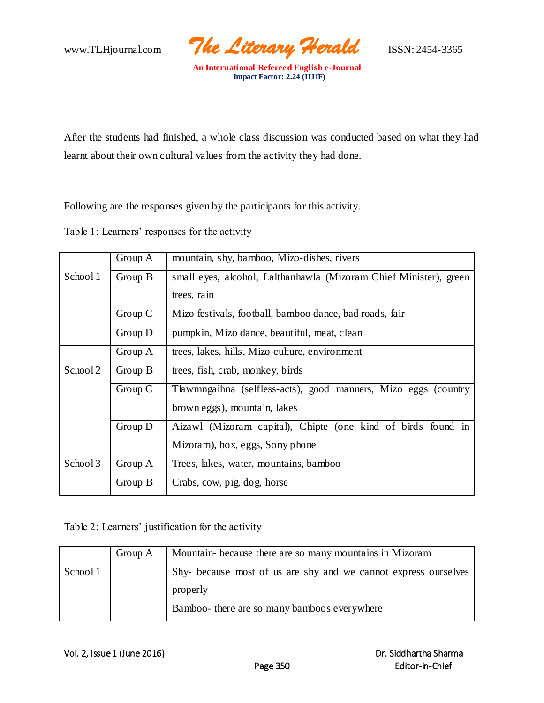www.TLHjournal.com *The Literary Herald*ISSN: 2454-3365

After the students had finished, a whole class discussion was conducted based on what they had learnt about their own cultural values from the activity they had done.

Following are the responses given by the participants for this activity.

Table 1: Learners' responses for the activity

|          | Group A | mountain, shy, bamboo, Mizo-dishes, rivers                        |  |  |
|----------|---------|-------------------------------------------------------------------|--|--|
| School 1 | Group B | small eyes, alcohol, Lalthanhawla (Mizoram Chief Minister), green |  |  |
|          |         | trees, rain                                                       |  |  |
|          | Group C | Mizo festivals, football, bamboo dance, bad roads, fair           |  |  |
|          | Group D | pumpkin, Mizo dance, beautiful, meat, clean                       |  |  |
|          | Group A | trees, lakes, hills, Mizo culture, environment                    |  |  |
| School 2 | Group B | trees, fish, crab, monkey, birds                                  |  |  |
|          | Group C | Tlawmngaihna (selfless-acts), good manners, Mizo eggs (country    |  |  |
|          |         | brown eggs), mountain, lakes                                      |  |  |
|          | Group D | Aizawl (Mizoram capital), Chipte (one kind of birds found in      |  |  |
|          |         | Mizoram), box, eggs, Sony phone                                   |  |  |
| School 3 | Group A | Trees, lakes, water, mountains, bamboo                            |  |  |
|          | Group B | Crabs, cow, pig, dog, horse                                       |  |  |

Table 2: Learners' justification for the activity

|          | Group A | Mountain-because there are so many mountains in Mizoram        |  |  |
|----------|---------|----------------------------------------------------------------|--|--|
| School 1 |         | Shy-because most of us are shy and we cannot express ourselves |  |  |
|          |         | properly                                                       |  |  |
|          |         | Bamboo- there are so many bamboos everywhere                   |  |  |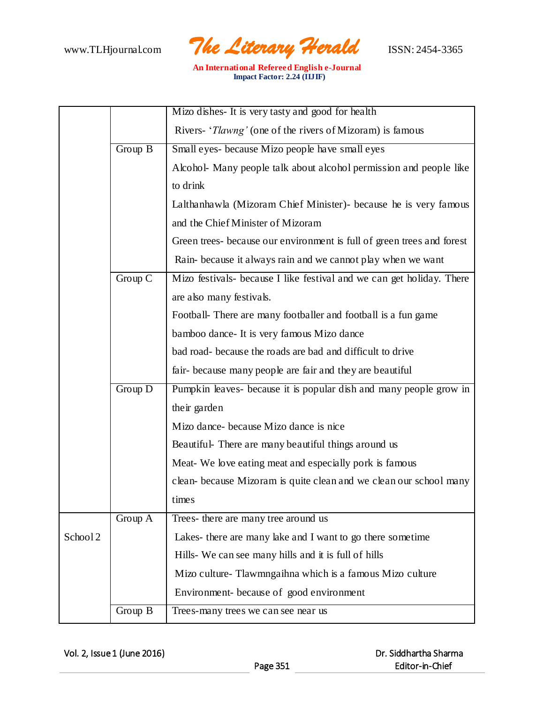

|          |         | Mizo dishes- It is very tasty and good for health                     |  |  |
|----------|---------|-----------------------------------------------------------------------|--|--|
|          |         | Rivers- ' <i>Tlawng'</i> (one of the rivers of Mizoram) is famous     |  |  |
|          | Group B | Small eyes- because Mizo people have small eyes                       |  |  |
|          |         | Alcohol- Many people talk about alcohol permission and people like    |  |  |
|          |         | to drink                                                              |  |  |
|          |         | Lalthanhawla (Mizoram Chief Minister) - because he is very famous     |  |  |
|          |         | and the Chief Minister of Mizoram                                     |  |  |
|          |         | Green trees-because our environment is full of green trees and forest |  |  |
|          |         | Rain-because it always rain and we cannot play when we want           |  |  |
|          | Group C | Mizo festivals- because I like festival and we can get holiday. There |  |  |
|          |         | are also many festivals.                                              |  |  |
|          |         | Football- There are many footballer and football is a fun game        |  |  |
|          |         | bamboo dance - It is very famous Mizo dance                           |  |  |
|          |         | bad road- because the roads are bad and difficult to drive            |  |  |
|          |         | fair-because many people are fair and they are beautiful              |  |  |
|          | Group D | Pumpkin leaves- because it is popular dish and many people grow in    |  |  |
|          |         | their garden                                                          |  |  |
|          |         | Mizo dance- because Mizo dance is nice                                |  |  |
|          |         | Beautiful- There are many beautiful things around us                  |  |  |
|          |         | Meat- We love eating meat and especially pork is famous               |  |  |
|          |         | clean-because Mizoram is quite clean and we clean our school many     |  |  |
|          |         | times                                                                 |  |  |
|          | Group A | Trees- there are many tree around us                                  |  |  |
| School 2 |         | Lakes- there are many lake and I want to go there sometime            |  |  |
|          |         | Hills- We can see many hills and it is full of hills                  |  |  |
|          |         | Mizo culture- Tlawmngaihna which is a famous Mizo culture             |  |  |
|          |         | Environment-because of good environment                               |  |  |
|          | Group B | Trees-many trees we can see near us                                   |  |  |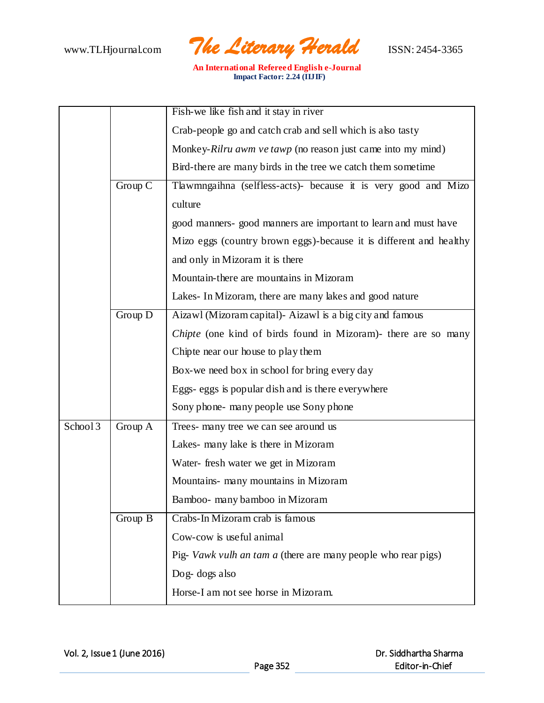

|          |         | Fish-we like fish and it stay in river                                |  |
|----------|---------|-----------------------------------------------------------------------|--|
|          |         | Crab-people go and catch crab and sell which is also tasty            |  |
|          |         | Monkey-Rilru awm ve tawp (no reason just came into my mind)           |  |
|          |         | Bird-there are many birds in the tree we catch them sometime          |  |
|          | Group C | Tlawmngaihna (selfless-acts)- because it is very good and Mizo        |  |
|          |         | culture                                                               |  |
|          |         | good manners- good manners are important to learn and must have       |  |
|          |         | Mizo eggs (country brown eggs)-because it is different and healthy    |  |
|          |         | and only in Mizoram it is there                                       |  |
|          |         | Mountain-there are mountains in Mizoram                               |  |
|          |         | Lakes- In Mizoram, there are many lakes and good nature               |  |
|          | Group D | Aizawl (Mizoram capital)- Aizawl is a big city and famous             |  |
|          |         | <i>Chipte</i> (one kind of birds found in Mizoram)- there are so many |  |
|          |         | Chipte near our house to play them                                    |  |
|          |         | Box-we need box in school for bring every day                         |  |
|          |         | Eggs- eggs is popular dish and is there everywhere                    |  |
|          |         | Sony phone- many people use Sony phone                                |  |
| School 3 | Group A | Trees- many tree we can see around us                                 |  |
|          |         | Lakes- many lake is there in Mizoram                                  |  |
|          |         | Water- fresh water we get in Mizoram                                  |  |
|          |         | Mountains- many mountains in Mizoram                                  |  |
|          |         | Bamboo- many bamboo in Mizoram                                        |  |
|          | Group B | Crabs-In Mizoram crab is famous                                       |  |
|          |         | Cow-cow is useful animal                                              |  |
|          |         | Pig- Vawk vulh an tam a (there are many people who rear pigs)         |  |
|          |         | Dog-dogs also                                                         |  |
|          |         | Horse-I am not see horse in Mizoram.                                  |  |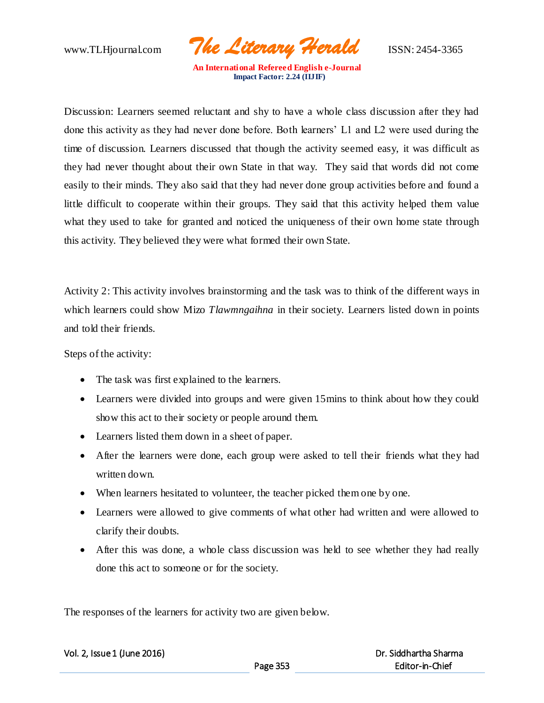www.TLHjournal.com *The Literary Herald*ISSN: 2454-3365

Discussion: Learners seemed reluctant and shy to have a whole class discussion after they had done this activity as they had never done before. Both learners' L1 and L2 were used during the time of discussion. Learners discussed that though the activity seemed easy, it was difficult as they had never thought about their own State in that way. They said that words did not come easily to their minds. They also said that they had never done group activities before and found a little difficult to cooperate within their groups. They said that this activity helped them value what they used to take for granted and noticed the uniqueness of their own home state through this activity. They believed they were what formed their own State.

Activity 2: This activity involves brainstorming and the task was to think of the different ways in which learners could show Mizo *Tlawmngaihna* in their society. Learners listed down in points and told their friends.

Steps of the activity:

- The task was first explained to the learners.
- Learners were divided into groups and were given 15mins to think about how they could show this act to their society or people around them.
- Learners listed them down in a sheet of paper.
- After the learners were done, each group were asked to tell their friends what they had written down.
- When learners hesitated to volunteer, the teacher picked them one by one.
- Learners were allowed to give comments of what other had written and were allowed to clarify their doubts.
- After this was done, a whole class discussion was held to see whether they had really done this act to someone or for the society.

The responses of the learners for activity two are given below.

|  | Vol. 2, Issue 1 (June 2016) |  |
|--|-----------------------------|--|
|  |                             |  |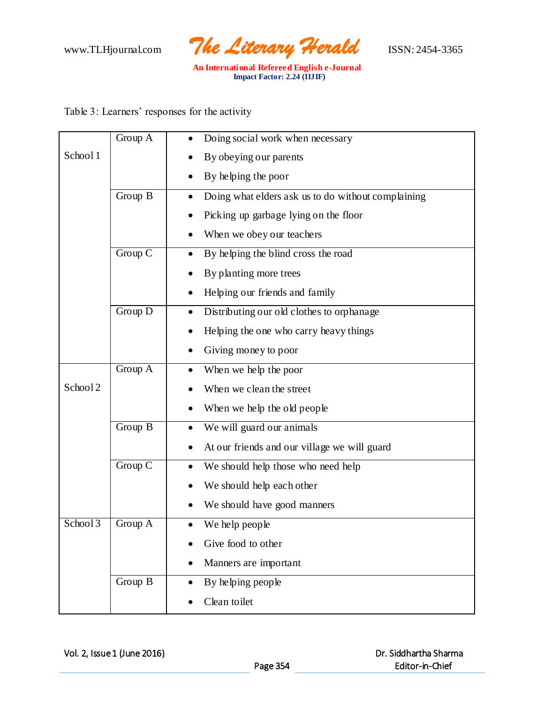

Table 3: Learners' responses for the activity

|                     | Group A | Doing social work when necessary                                |
|---------------------|---------|-----------------------------------------------------------------|
| School 1            |         | By obeying our parents                                          |
|                     |         | By helping the poor                                             |
|                     | Group B | Doing what elders ask us to do without complaining<br>$\bullet$ |
|                     |         | Picking up garbage lying on the floor                           |
|                     |         | When we obey our teachers                                       |
|                     | Group C | By helping the blind cross the road                             |
|                     |         | By planting more trees                                          |
|                     |         | Helping our friends and family                                  |
|                     | Group D | Distributing our old clothes to orphanage<br>$\bullet$          |
|                     |         | Helping the one who carry heavy things                          |
|                     |         | Giving money to poor                                            |
|                     | Group A | When we help the poor                                           |
| School <sub>2</sub> |         | When we clean the street                                        |
|                     |         | When we help the old people                                     |
|                     | Group B | We will guard our animals<br>$\bullet$                          |
|                     |         | At our friends and our village we will guard                    |
|                     | Group C | We should help those who need help                              |
|                     |         | We should help each other                                       |
|                     |         | We should have good manners                                     |
| School 3            | Group A | We help people                                                  |
|                     |         | Give food to other                                              |
|                     |         | Manners are important                                           |
|                     | Group B | By helping people                                               |
|                     |         | Clean toilet                                                    |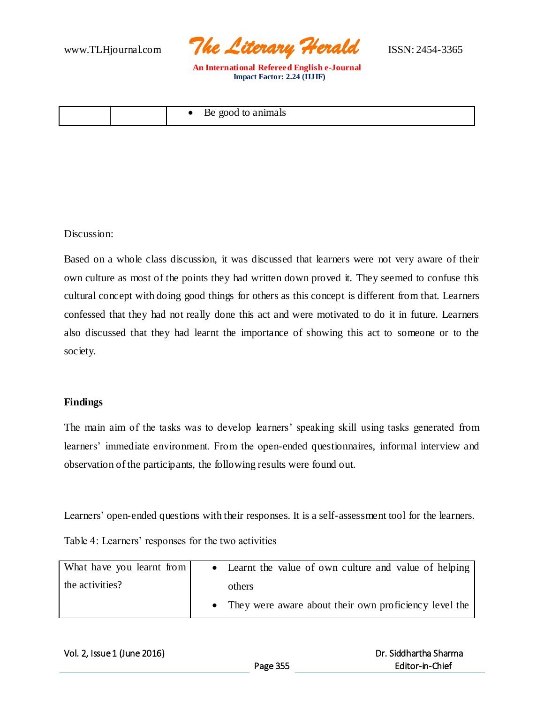

| good<br>≅anımals<br>Be.<br>to.<br>— |  |
|-------------------------------------|--|
|-------------------------------------|--|

Discussion:

Based on a whole class discussion, it was discussed that learners were not very aware of their own culture as most of the points they had written down proved it. They seemed to confuse this cultural concept with doing good things for others as this concept is different from that. Learners confessed that they had not really done this act and were motivated to do it in future. Learners also discussed that they had learnt the importance of showing this act to someone or to the society.

## **Findings**

The main aim of the tasks was to develop learners' speaking skill using tasks generated from learners' immediate environment. From the open-ended questionnaires, informal interview and observation of the participants, the following results were found out.

Learners' open-ended questions with their responses. It is a self-assessment tool for the learners.

Table 4: Learners' responses for the two activities

| What have you learnt from | • Learnt the value of own culture and value of helping  |
|---------------------------|---------------------------------------------------------|
| the activities?           | others                                                  |
|                           | • They were aware about their own proficiency level the |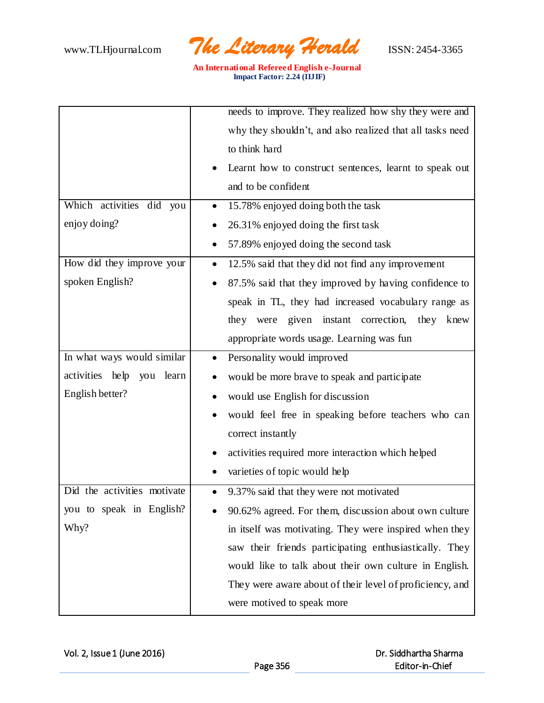

|                              | needs to improve. They realized how shy they were and          |  |
|------------------------------|----------------------------------------------------------------|--|
|                              | why they shouldn't, and also realized that all tasks need      |  |
|                              | to think hard                                                  |  |
|                              | Learnt how to construct sentences, learnt to speak out         |  |
|                              | and to be confident                                            |  |
| Which activities did you     | 15.78% enjoyed doing both the task<br>$\bullet$                |  |
| enjoy doing?                 | 26.31% enjoyed doing the first task                            |  |
|                              | 57.89% enjoyed doing the second task                           |  |
| How did they improve your    | 12.5% said that they did not find any improvement<br>$\bullet$ |  |
| spoken English?              | 87.5% said that they improved by having confidence to          |  |
|                              | speak in TL, they had increased vocabulary range as            |  |
|                              | they were given instant correction, they<br>knew               |  |
|                              | appropriate words usage. Learning was fun                      |  |
| In what ways would similar   | Personality would improved<br>$\bullet$                        |  |
| activities help<br>you learn | would be more brave to speak and participate<br>$\bullet$      |  |
| English better?              | would use English for discussion                               |  |
|                              | would feel free in speaking before teachers who can            |  |
|                              | correct instantly                                              |  |
|                              | activities required more interaction which helped              |  |
|                              | varieties of topic would help                                  |  |
| Did the activities motivate  | 9.37% said that they were not motivated<br>$\bullet$           |  |
| you to speak in English?     | 90.62% agreed. For them, discussion about own culture          |  |
| Why?                         | in itself was motivating. They were inspired when they         |  |
|                              | saw their friends participating enthusiastically. They         |  |
|                              | would like to talk about their own culture in English.         |  |
|                              | They were aware about of their level of proficiency, and       |  |
|                              | were motived to speak more                                     |  |
|                              |                                                                |  |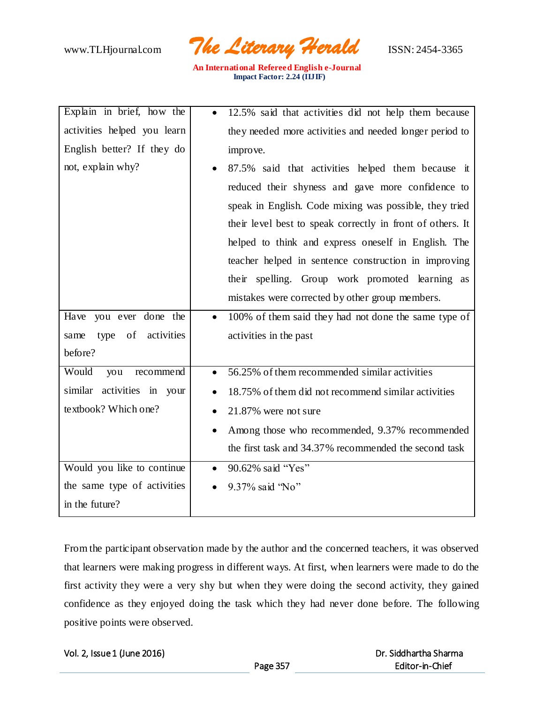www.TLHjournal.com *The Literary Herald*ISSN: 2454-3365

| Explain in brief, how the   | 12.5% said that activities did not help them because              |
|-----------------------------|-------------------------------------------------------------------|
| activities helped you learn | they needed more activities and needed longer period to           |
| English better? If they do  | improve.                                                          |
| not, explain why?           | 87.5% said that activities helped them because it                 |
|                             | reduced their shyness and gave more confidence to                 |
|                             | speak in English. Code mixing was possible, they tried            |
|                             | their level best to speak correctly in front of others. It        |
|                             | helped to think and express oneself in English. The               |
|                             | teacher helped in sentence construction in improving              |
|                             | their spelling. Group work promoted learning as                   |
|                             | mistakes were corrected by other group members.                   |
| Have you ever done the      | 100% of them said they had not done the same type of<br>$\bullet$ |
| type of activities<br>same  | activities in the past                                            |
| before?                     |                                                                   |
| Would<br>you<br>recommend   | 56.25% of them recommended similar activities                     |
| similar activities in your  | 18.75% of them did not recommend similar activities<br>$\bullet$  |
| textbook? Which one?        | 21.87% were not sure                                              |
|                             | Among those who recommended, 9.37% recommended<br>$\bullet$       |
|                             | the first task and 34.37% recommended the second task             |
| Would you like to continue  | 90.62% said "Yes"<br>$\bullet$                                    |
| the same type of activities | 9.37% said 'No"                                                   |
| in the future?              |                                                                   |

From the participant observation made by the author and the concerned teachers, it was observed that learners were making progress in different ways. At first, when learners were made to do the first activity they were a very shy but when they were doing the second activity, they gained confidence as they enjoyed doing the task which they had never done before. The following positive points were observed.

|  | Vol. 2, Issue 1 (June 2016) |  |
|--|-----------------------------|--|
|  |                             |  |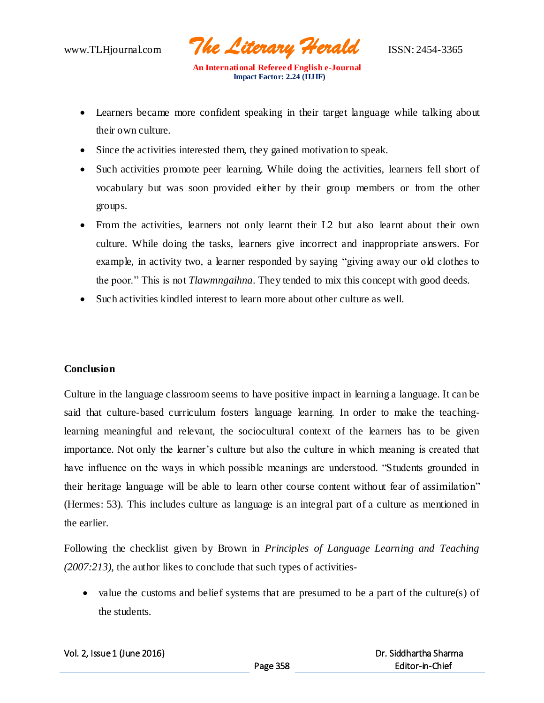www.TLHjournal.com *The Literary Herald*ISSN: 2454-3365

- Learners became more confident speaking in their target language while talking about their own culture.
- Since the activities interested them, they gained motivation to speak.
- Such activities promote peer learning. While doing the activities, learners fell short of vocabulary but was soon provided either by their group members or from the other groups.
- From the activities, learners not only learnt their L2 but also learnt about their own culture. While doing the tasks, learners give incorrect and inappropriate answers. For example, in activity two, a learner responded by saying "giving away our old clothes to the poor." This is not *Tlawmngaihna*. They tended to mix this concept with good deeds.
- Such activities kindled interest to learn more about other culture as well.

## **Conclusion**

Culture in the language classroom seems to have positive impact in learning a language. It can be said that culture-based curriculum fosters language learning. In order to make the teachinglearning meaningful and relevant, the sociocultural context of the learners has to be given importance. Not only the learner's culture but also the culture in which meaning is created that have influence on the ways in which possible meanings are understood. "Students grounded in their heritage language will be able to learn other course content without fear of assimilation" (Hermes: 53). This includes culture as language is an integral part of a culture as mentioned in the earlier.

Following the checklist given by Brown in *Principles of Language Learning and Teaching (2007:213),* the author likes to conclude that such types of activities-

• value the customs and belief systems that are presumed to be a part of the culture(s) of the students.

|  |  | Vol. 2, Issue 1 (June 2016) |  |  |
|--|--|-----------------------------|--|--|
|--|--|-----------------------------|--|--|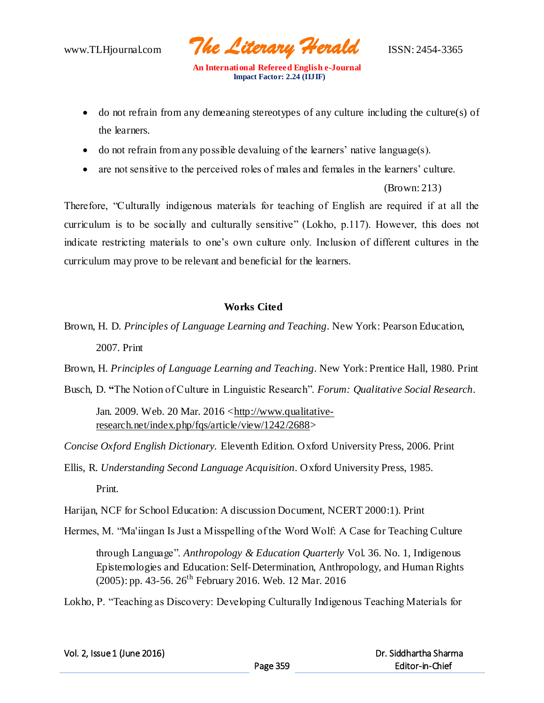www.TLHjournal.com *The Literary Herald*ISSN: 2454-3365

- do not refrain from any demeaning stereotypes of any culture including the culture(s) of the learners.
- $\bullet$  do not refrain from any possible devaluing of the learners' native language(s).
- are not sensitive to the perceived roles of males and females in the learners' culture.

(Brown: 213)

Therefore, "Culturally indigenous materials for teaching of English are required if at all the curriculum is to be socially and culturally sensitive" (Lokho, p.117). However, this does not indicate restricting materials to one's own culture only. Inclusion of different cultures in the curriculum may prove to be relevant and beneficial for the learners.

## **Works Cited**

Brown, H. D. *Principles of Language Learning and Teaching*. New York: Pearson Education, 2007. Print

Brown, H. *Principles of Language Learning and Teaching*. New York: Prentice Hall, 1980. Print

Busch, D. **"**The Notion of Culture in Linguistic Research". *Forum: Qualitative Social Research*.

Jan. 2009. Web. 20 Mar. 2016 <http://www.qualitativeresearch.net/index.php/fqs/article/view/1242/2688>

*Concise Oxford English Dictionary.* Eleventh Edition. Oxford University Press, 2006. Print

Ellis, R. *Understanding Second Language Acquisition*. Oxford University Press, 1985.

Print.

Harijan, NCF for School Education: A discussion Document, NCERT 2000:1). Print

Hermes, M. "Ma'iingan Is Just a Misspelling of the Word Wolf: A Case for Teaching Culture

through Language". *Anthropology & Education Quarterly* Vol. 36. No. 1, Indigenous Epistemologies and Education: Self-Determination, Anthropology, and Human Rights (2005): pp. 43-56. 26<sup>th</sup> February 2016. Web. 12 Mar. 2016

Lokho, P. "Teaching as Discovery: Developing Culturally Indigenous Teaching Materials for

| Vol. 2, Issue 1 (June 2016) |  |
|-----------------------------|--|
|-----------------------------|--|